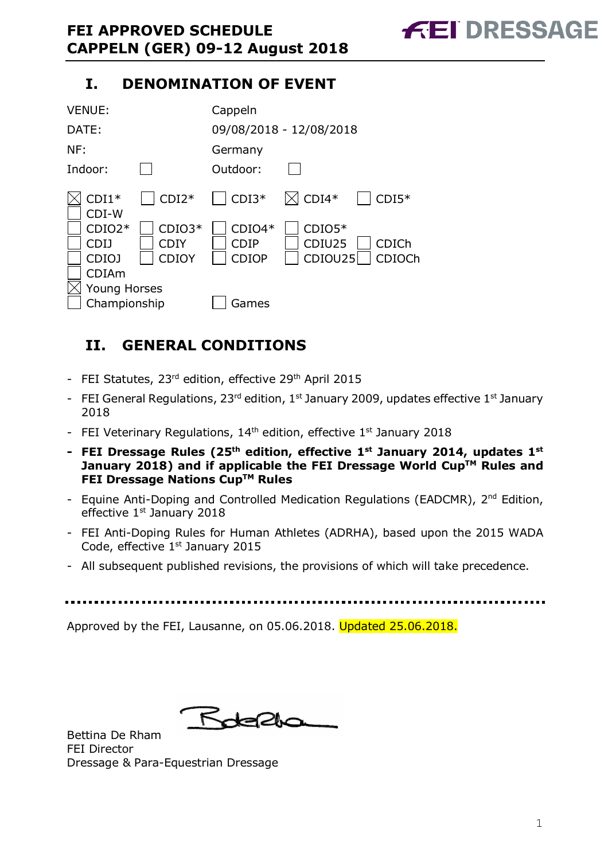# **I. DENOMINATION OF EVENT**

| <b>VENUE:</b>                                   |                           | Cappeln                                 |                               |                 |
|-------------------------------------------------|---------------------------|-----------------------------------------|-------------------------------|-----------------|
| DATE:                                           |                           |                                         | 09/08/2018 - 12/08/2018       |                 |
| NF:                                             |                           | Germany                                 |                               |                 |
| Indoor:                                         |                           | Outdoor:                                |                               |                 |
| $CDI1*$<br>CDI-W                                | $CDI2*$                   | $CDI3*$                                 | $\boxtimes$ CDI4*             | $CDI5*$         |
| $CDIO2*$<br>CDI 1<br>CDIO <sub>J</sub><br>CDIAm | $CDIO3*$<br>CDIY<br>CDIOY | $CDIO4*$<br><b>CDIP</b><br><b>CDIOP</b> | $CDIO5*$<br>CDIU25<br>CDIOU25 | CDICh<br>CDIOCh |
| Young Horses<br>Championship                    |                           | Games                                   |                               |                 |

# **II. GENERAL CONDITIONS**

- FEI Statutes, 23<sup>rd</sup> edition, effective 29<sup>th</sup> April 2015
- FEI General Regulations,  $23^{rd}$  edition,  $1^{st}$  January 2009, updates effective  $1^{st}$  January 2018
- FEI Veterinary Regulations,  $14<sup>th</sup>$  edition, effective  $1<sup>st</sup>$  January 2018
- **- FEI Dressage Rules (25th edition, effective 1st January 2014, updates 1st January** 2018) and if applicable the FEI Dressage World Cup™ Rules and **FEI Dressage Nations CupTM Rules**
- Equine Anti-Doping and Controlled Medication Regulations (EADCMR), 2<sup>nd</sup> Edition, effective 1<sup>st</sup> January 2018
- FEI Anti-Doping Rules for Human Athletes (ADRHA), based upon the 2015 WADA Code, effective 1st January 2015
- All subsequent published revisions, the provisions of which will take precedence.

Approved by the FEI, Lausanne, on 05.06.2018. Updated 25.06.2018.

Rotella

Bettina De Rham FEI Director Dressage & Para-Equestrian Dressage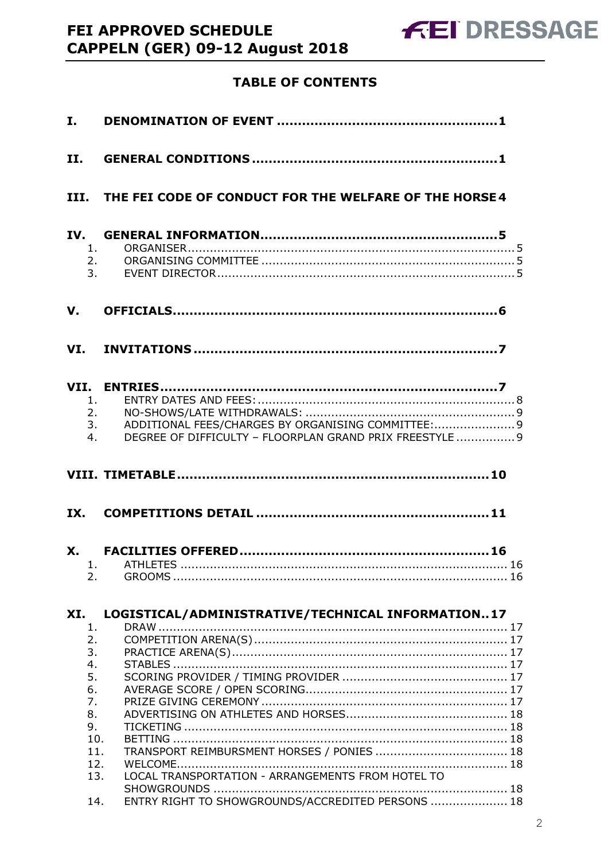# **TABLE OF CONTENTS**

| I.                    |                                                                                                                            |  |
|-----------------------|----------------------------------------------------------------------------------------------------------------------------|--|
| II.                   |                                                                                                                            |  |
|                       | III. THE FEI CODE OF CONDUCT FOR THE WELFARE OF THE HORSE 4                                                                |  |
| IV.<br>1.<br>2.<br>3. |                                                                                                                            |  |
| V.                    |                                                                                                                            |  |
|                       |                                                                                                                            |  |
| 1.<br>4.              | 2.<br>ADDITIONAL FEES/CHARGES BY ORGANISING COMMITTEE: 9<br>3.<br>DEGREE OF DIFFICULTY - FLOORPLAN GRAND PRIX FREESTYLE  9 |  |
|                       |                                                                                                                            |  |
|                       |                                                                                                                            |  |
|                       |                                                                                                                            |  |
| 2.                    |                                                                                                                            |  |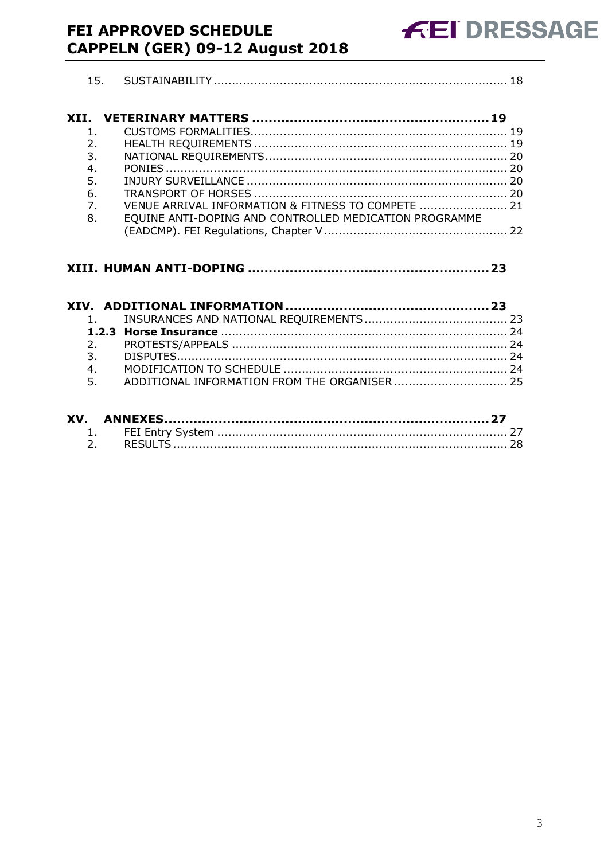# **FEI APPROVED SCHEDULE** CAPPELN (GER) 09-12 August 2018

| 4. |  |
|----|--|
| 5. |  |
|    |  |

| 7. | VENUE ARRIVAL INFORMATION & FITNESS TO COMPETE  21     |  |
|----|--------------------------------------------------------|--|
| 8. | EQUINE ANTI-DOPING AND CONTROLLED MEDICATION PROGRAMME |  |
|    |                                                        |  |

#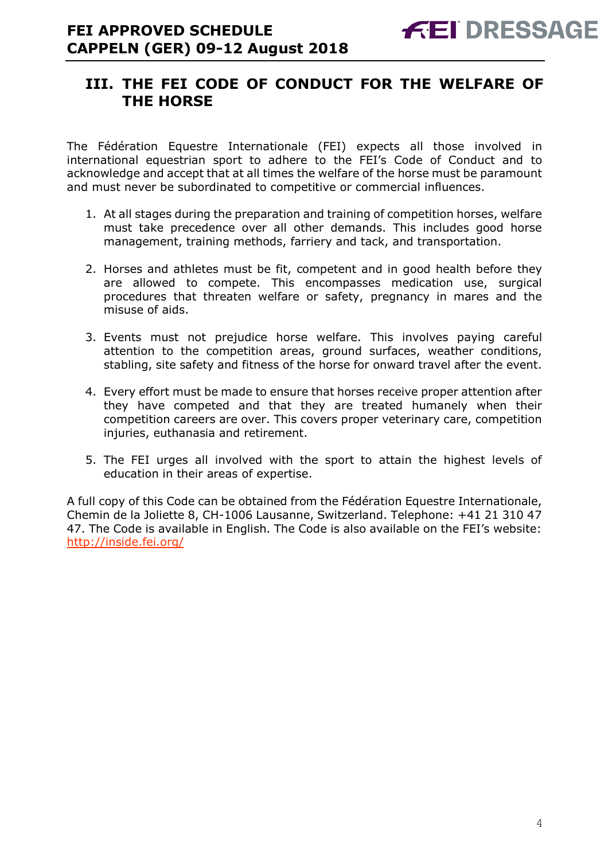# **III. THE FEI CODE OF CONDUCT FOR THE WELFARE OF THE HORSE**

The Fédération Equestre Internationale (FEI) expects all those involved in international equestrian sport to adhere to the FEI's Code of Conduct and to acknowledge and accept that at all times the welfare of the horse must be paramount and must never be subordinated to competitive or commercial influences.

- 1. At all stages during the preparation and training of competition horses, welfare must take precedence over all other demands. This includes good horse management, training methods, farriery and tack, and transportation.
- 2. Horses and athletes must be fit, competent and in good health before they are allowed to compete. This encompasses medication use, surgical procedures that threaten welfare or safety, pregnancy in mares and the misuse of aids.
- 3. Events must not prejudice horse welfare. This involves paying careful attention to the competition areas, ground surfaces, weather conditions, stabling, site safety and fitness of the horse for onward travel after the event.
- 4. Every effort must be made to ensure that horses receive proper attention after they have competed and that they are treated humanely when their competition careers are over. This covers proper veterinary care, competition injuries, euthanasia and retirement.
- 5. The FEI urges all involved with the sport to attain the highest levels of education in their areas of expertise.

A full copy of this Code can be obtained from the Fédération Equestre Internationale, Chemin de la Joliette 8, CH-1006 Lausanne, Switzerland. Telephone: +41 21 310 47 47. The Code is available in English. The Code is also available on the FEI's website: http://inside.fei.org/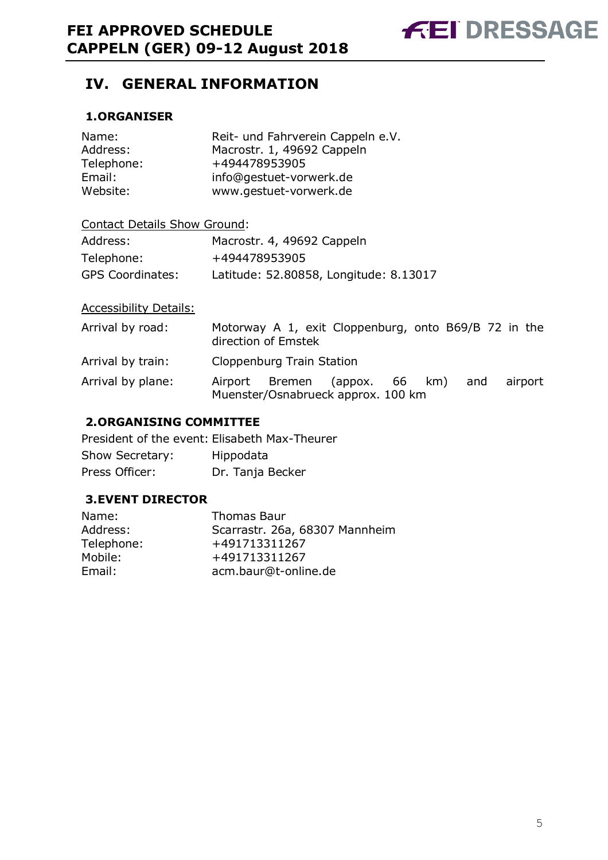

# **IV. GENERAL INFORMATION**

# **1.ORGANISER**

| Name:      | Reit- und Fahrverein Cappeln e.V. |
|------------|-----------------------------------|
| Address:   | Macrostr. 1, 49692 Cappeln        |
| Telephone: | +494478953905                     |
| Email:     | info@gestuet-vorwerk.de           |
| Website:   | www.gestuet-vorwerk.de            |

# Contact Details Show Ground:

| Address:                | Macrostr. 4, 49692 Cappeln             |
|-------------------------|----------------------------------------|
| Telephone:              | +494478953905                          |
| <b>GPS Coordinates:</b> | Latitude: 52.80858, Longitude: 8.13017 |

# Accessibility Details:

| Arrival by road:  | direction of Emstek       | Motorway A 1, exit Cloppenburg, onto B69/B 72 in the                |  |     |         |  |
|-------------------|---------------------------|---------------------------------------------------------------------|--|-----|---------|--|
| Arrival by train: | Cloppenburg Train Station |                                                                     |  |     |         |  |
| Arrival by plane: |                           | Airport Bremen (appox. 66 km)<br>Muenster/Osnabrueck approx. 100 km |  | and | airport |  |

## **2.ORGANISING COMMITTEE**

President of the event: Elisabeth Max-Theurer Show Secretary: Hippodata Press Officer: Dr. Tanja Becker

## **3.EVENT DIRECTOR**

| Name:      | <b>Thomas Baur</b>             |
|------------|--------------------------------|
| Address:   | Scarrastr. 26a, 68307 Mannheim |
| Telephone: | +491713311267                  |
| Mobile:    | +491713311267                  |
| Email:     | acm.baur@t-online.de           |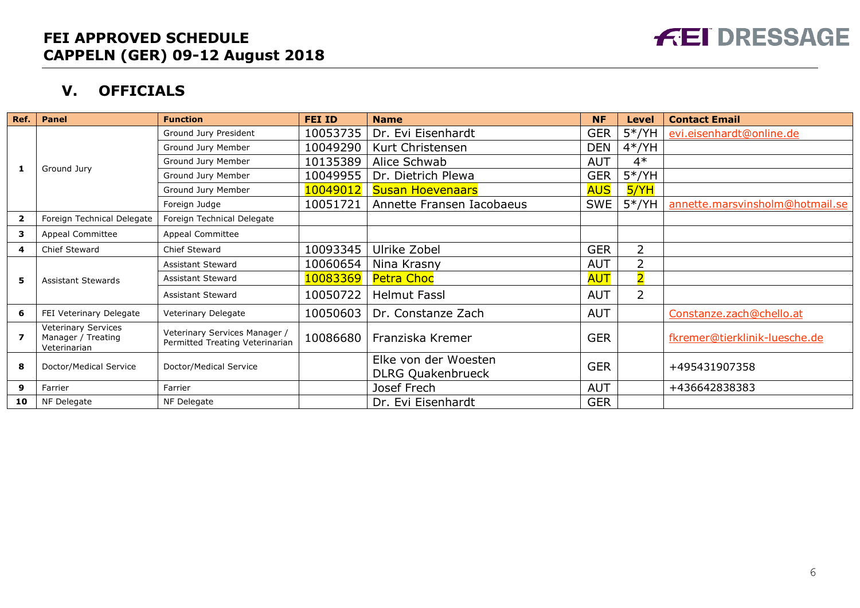

# **V. OFFICIALS**

| Ref.           | Panel                                                     | <b>Function</b>                                                  | <b>FEI ID</b> | <b>Name</b>                                      | <b>NF</b>  | Level          | <b>Contact Email</b>            |
|----------------|-----------------------------------------------------------|------------------------------------------------------------------|---------------|--------------------------------------------------|------------|----------------|---------------------------------|
|                |                                                           | Ground Jury President                                            | 10053735      | Dr. Evi Eisenhardt                               | <b>GER</b> | $5*/YH$        | evi.eisenhardt@online.de        |
|                |                                                           | Ground Jury Member                                               | 10049290      | Kurt Christensen                                 | <b>DEN</b> | $4*/YH$        |                                 |
| 1              |                                                           | Ground Jury Member                                               | 10135389      | Alice Schwab                                     | <b>AUT</b> | $4*$           |                                 |
|                | Ground Jury                                               | Ground Jury Member                                               | 10049955      | Dr. Dietrich Plewa                               | <b>GER</b> | $5*/YH$        |                                 |
|                |                                                           | Ground Jury Member                                               | 10049012      | <b>Susan Hoevenaars</b>                          | <b>AUS</b> | <b>5/YH</b>    |                                 |
|                |                                                           | Foreign Judge                                                    | 10051721      | Annette Fransen Iacobaeus                        | <b>SWE</b> | $5*/YH$        | annette.marsvinsholm@hotmail.se |
| $\overline{2}$ | Foreign Technical Delegate                                | Foreign Technical Delegate                                       |               |                                                  |            |                |                                 |
| 3              | Appeal Committee                                          | Appeal Committee                                                 |               |                                                  |            |                |                                 |
| 4              | Chief Steward                                             | <b>Chief Steward</b>                                             | 10093345      | Ulrike Zobel                                     | <b>GER</b> | 2              |                                 |
|                |                                                           | <b>Assistant Steward</b>                                         | 10060654      | Nina Krasny                                      | <b>AUT</b> | 2              |                                 |
| 5              | <b>Assistant Stewards</b>                                 | <b>Assistant Steward</b>                                         | 10083369      | Petra Choc                                       | <b>AUT</b> | $\overline{2}$ |                                 |
|                |                                                           | Assistant Steward                                                | 10050722      | <b>Helmut Fassl</b>                              | <b>AUT</b> | 2              |                                 |
| 6              | FEI Veterinary Delegate                                   | Veterinary Delegate                                              | 10050603      | Dr. Constanze Zach                               | <b>AUT</b> |                | Constanze.zach@chello.at        |
| 7              | Veterinary Services<br>Manager / Treating<br>Veterinarian | Veterinary Services Manager /<br>Permitted Treating Veterinarian | 10086680      | Franziska Kremer                                 | <b>GER</b> |                | fkremer@tierklinik-luesche.de   |
| 8              | Doctor/Medical Service                                    | Doctor/Medical Service                                           |               | Elke von der Woesten<br><b>DLRG Quakenbrueck</b> | <b>GER</b> |                | +495431907358                   |
| 9              | Farrier                                                   | Farrier                                                          |               | Josef Frech                                      | <b>AUT</b> |                | +436642838383                   |
| 10             | NF Delegate                                               | NF Delegate                                                      |               | Dr. Evi Eisenhardt                               | <b>GER</b> |                |                                 |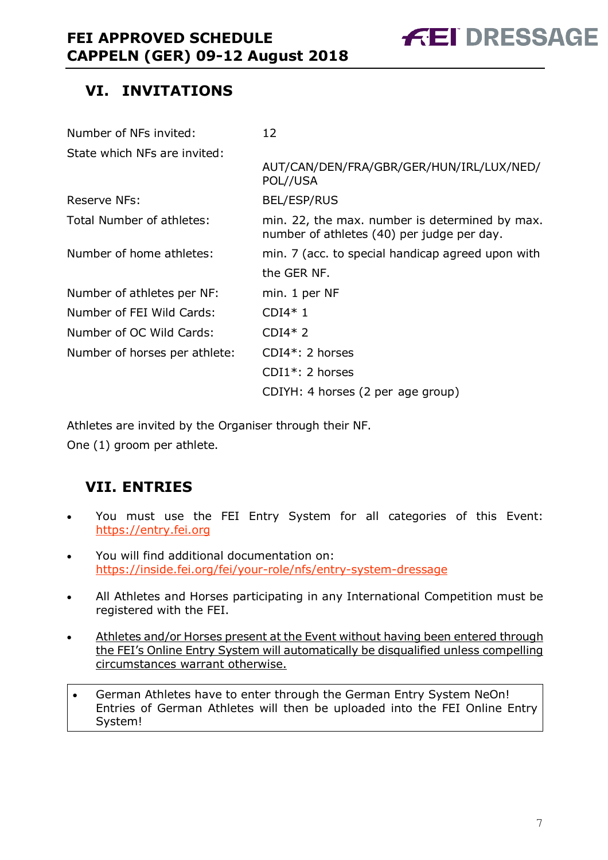

# **VI. INVITATIONS**

| Number of NFs invited:        | 12                                                                                           |
|-------------------------------|----------------------------------------------------------------------------------------------|
| State which NFs are invited:  |                                                                                              |
|                               | AUT/CAN/DEN/FRA/GBR/GER/HUN/IRL/LUX/NED/<br>POL//USA                                         |
| <b>Reserve NFs:</b>           | <b>BEL/ESP/RUS</b>                                                                           |
| Total Number of athletes:     | min. 22, the max. number is determined by max.<br>number of athletes (40) per judge per day. |
| Number of home athletes:      | min. 7 (acc. to special handicap agreed upon with                                            |
|                               | the GER NF.                                                                                  |
| Number of athletes per NF:    | min. 1 per NF                                                                                |
| Number of FEI Wild Cards:     | $CDI4*1$                                                                                     |
| Number of OC Wild Cards:      | $CDI4*2$                                                                                     |
| Number of horses per athlete: | $CDI4*: 2$ horses                                                                            |
|                               | $CDI1*: 2$ horses                                                                            |
|                               | CDIYH: 4 horses (2 per age group)                                                            |

Athletes are invited by the Organiser through their NF.

One (1) groom per athlete.

# **VII. ENTRIES**

- You must use the FEI Entry System for all categories of this Event: https://entry.fei.org
- You will find additional documentation on: https://inside.fei.org/fei/your-role/nfs/entry-system-dressage
- All Athletes and Horses participating in any International Competition must be registered with the FEI.
- Athletes and/or Horses present at the Event without having been entered through the FEI's Online Entry System will automatically be disqualified unless compelling circumstances warrant otherwise.
- German Athletes have to enter through the German Entry System NeOn! Entries of German Athletes will then be uploaded into the FEI Online Entry System!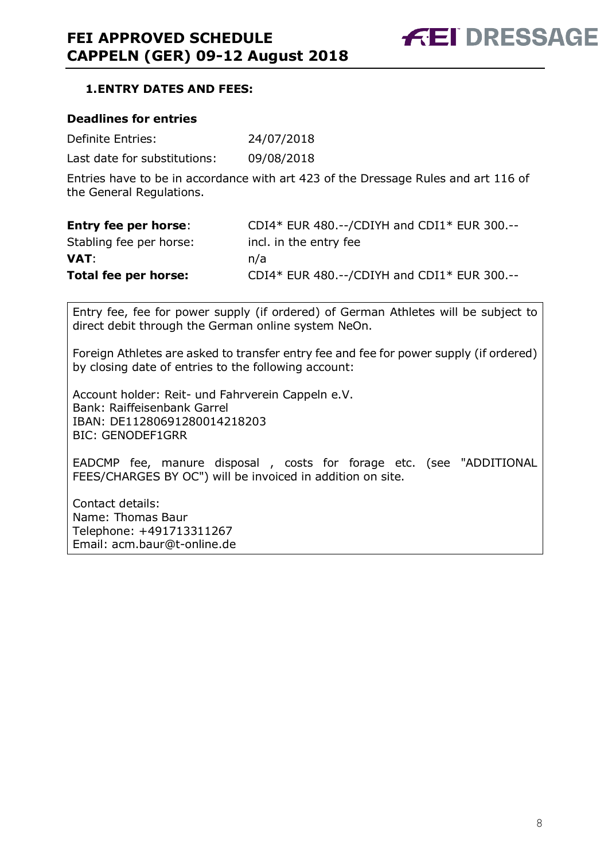# **1.ENTRY DATES AND FEES:**

#### **Deadlines for entries**

| Definite Entries: | 24/07/2018 |
|-------------------|------------|
|-------------------|------------|

Last date for substitutions: 09/08/2018

Entries have to be in accordance with art 423 of the Dressage Rules and art 116 of the General Regulations.

| <b>Entry fee per horse:</b> | CDI4* EUR 480.--/CDIYH and CDI1* EUR 300.-- |
|-----------------------------|---------------------------------------------|
| Stabling fee per horse:     | incl. in the entry fee                      |
| VAT:                        | n/a                                         |
| Total fee per horse:        | CDI4* EUR 480.--/CDIYH and CDI1* EUR 300.-- |

Entry fee, fee for power supply (if ordered) of German Athletes will be subject to direct debit through the German online system NeOn.

Foreign Athletes are asked to transfer entry fee and fee for power supply (if ordered) by closing date of entries to the following account:

Account holder: Reit- und Fahrverein Cappeln e.V. Bank: Raiffeisenbank Garrel IBAN: DE11280691280014218203 BIC: GENODEF1GRR

EADCMP fee, manure disposal , costs for forage etc. (see "ADDITIONAL FEES/CHARGES BY OC") will be invoiced in addition on site.

Contact details: Name: Thomas Baur Telephone: +491713311267 Email: acm.baur@t-online.de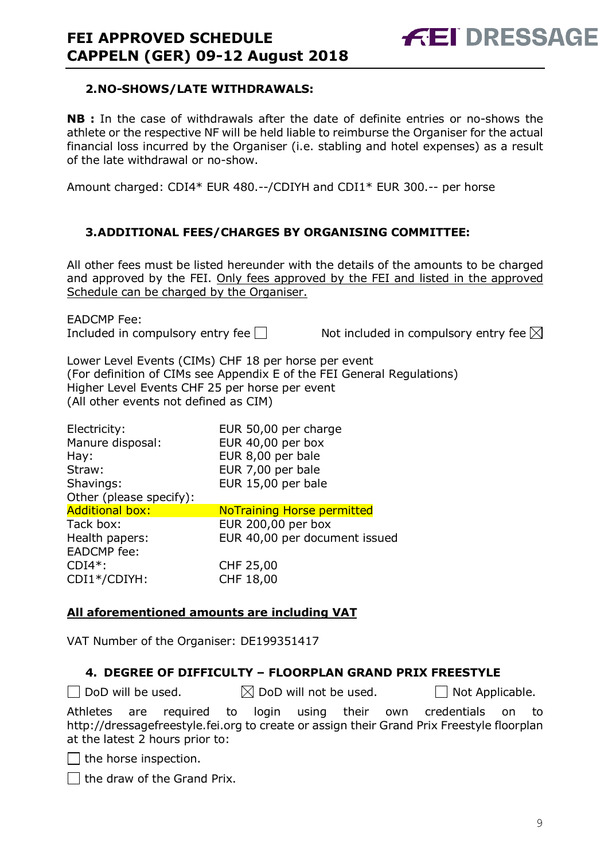

#### **2.NO-SHOWS/LATE WITHDRAWALS:**

**NB :** In the case of withdrawals after the date of definite entries or no-shows the athlete or the respective NF will be held liable to reimburse the Organiser for the actual financial loss incurred by the Organiser (i.e. stabling and hotel expenses) as a result of the late withdrawal or no-show.

Amount charged: CDI4\* EUR 480.--/CDIYH and CDI1\* EUR 300.-- per horse

## **3.ADDITIONAL FEES/CHARGES BY ORGANISING COMMITTEE:**

All other fees must be listed hereunder with the details of the amounts to be charged and approved by the FEI. Only fees approved by the FEI and listed in the approved Schedule can be charged by the Organiser.

EADCMP Fee:

Included in compulsory entry fee  $\Box$  Not included in compulsory entry fee  $\boxtimes$ 

Lower Level Events (CIMs) CHF 18 per horse per event (For definition of CIMs see Appendix E of the FEI General Regulations) Higher Level Events CHF 25 per horse per event (All other events not defined as CIM)

| Electricity:            | EUR 50,00 per charge              |
|-------------------------|-----------------------------------|
| Manure disposal:        | EUR 40,00 per box                 |
| Hay:                    | EUR 8,00 per bale                 |
| Straw:                  | EUR 7,00 per bale                 |
| Shavings:               | EUR 15,00 per bale                |
| Other (please specify): |                                   |
| <b>Additional box:</b>  | <b>NoTraining Horse permitted</b> |
| Tack box:               | EUR 200,00 per box                |
| Health papers:          | EUR 40,00 per document issued     |
| <b>EADCMP</b> fee:      |                                   |
| $CDI4*$ :               | CHF 25,00                         |
| CDI1*/CDIYH:            | CHF 18,00                         |

## **All aforementioned amounts are including VAT**

VAT Number of the Organiser: DE199351417

## **4. DEGREE OF DIFFICULTY – FLOORPLAN GRAND PRIX FREESTYLE**

 $\Box$  DoD will be used.  $\boxtimes$  DoD will not be used.  $\Box$  Not Applicable.

Athletes are required to login using their own credentials on to http://dressagefreestyle.fei.org to create or assign their Grand Prix Freestyle floorplan at the latest 2 hours prior to:

 $\Box$  the horse inspection.

 $\Box$  the draw of the Grand Prix.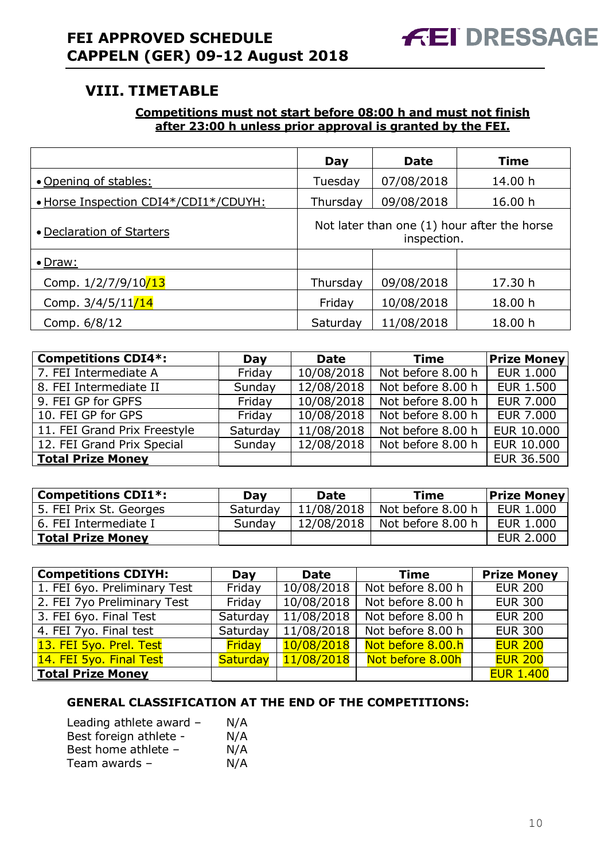# **VIII. TIMETABLE**

# **Competitions must not start before 08:00 h and must not finish after 23:00 h unless prior approval is granted by the FEI.**

|                                       | Day      | <b>Date</b> | <b>Time</b>                                 |
|---------------------------------------|----------|-------------|---------------------------------------------|
| • Opening of stables:                 | Tuesday  | 07/08/2018  | 14.00 h                                     |
| • Horse Inspection CDI4*/CDI1*/CDUYH: | Thursday | 09/08/2018  | 16.00 h                                     |
| • Declaration of Starters             |          | inspection. | Not later than one (1) hour after the horse |
| $\bullet$ Draw:                       |          |             |                                             |
| Comp. 1/2/7/9/10/13                   | Thursday | 09/08/2018  | 17.30 h                                     |
| Comp. 3/4/5/11/14                     | Friday   | 10/08/2018  | 18.00 h                                     |
| Comp. 6/8/12                          | Saturday | 11/08/2018  | 18.00 h                                     |

| <b>Competitions CDI4*:</b>   | Day      | <b>Date</b> | Time              | <b>Prize Money</b> |
|------------------------------|----------|-------------|-------------------|--------------------|
| 7. FEI Intermediate A        | Friday   | 10/08/2018  | Not before 8.00 h | <b>EUR 1.000</b>   |
| 8. FEI Intermediate II       | Sunday   | 12/08/2018  | Not before 8.00 h | <b>EUR 1.500</b>   |
| 9. FEI GP for GPFS           | Friday   | 10/08/2018  | Not before 8.00 h | <b>EUR 7.000</b>   |
| 10. FEI GP for GPS           | Friday   | 10/08/2018  | Not before 8.00 h | <b>EUR 7.000</b>   |
| 11. FEI Grand Prix Freestyle | Saturday | 11/08/2018  | Not before 8.00 h | <b>EUR 10.000</b>  |
| 12. FEI Grand Prix Special   | Sunday   | 12/08/2018  | Not before 8.00 h | EUR 10.000         |
| Total Prize Money            |          |             |                   | EUR 36.500         |

| <b>Competitions CDI1*:</b> | Dav      | <b>Date</b> | <b>Time</b>       | <b>Prize Money</b> |
|----------------------------|----------|-------------|-------------------|--------------------|
| 5. FEI Prix St. Georges    | Saturday | 11/08/2018  | Not before 8.00 h | EUR 1.000          |
| 6. FEI Intermediate I      | Sunday   | 12/08/2018  | Not before 8.00 h | EUR 1.000          |
| <b>Total Prize Money</b>   |          |             |                   | <b>EUR 2.000</b>   |

| <b>Competitions CDIYH:</b>   | <b>Day</b>    | <b>Date</b> | <b>Time</b>       | <b>Prize Money</b> |
|------------------------------|---------------|-------------|-------------------|--------------------|
| 1. FEI 6yo. Preliminary Test | Friday        | 10/08/2018  | Not before 8.00 h | <b>EUR 200</b>     |
| 2. FEI 7yo Preliminary Test  | Friday        | 10/08/2018  | Not before 8.00 h | <b>EUR 300</b>     |
| 3. FEI 6yo. Final Test       | Saturday      | 11/08/2018  | Not before 8.00 h | <b>EUR 200</b>     |
| 4. FEI 7yo. Final test       | Saturday      | 11/08/2018  | Not before 8.00 h | <b>EUR 300</b>     |
| 13. FEI 5yo. Prel. Test      | <b>Friday</b> | 10/08/2018  | Not before 8.00.h | <b>EUR 200</b>     |
| 14. FEI 5yo. Final Test      | Saturday      | 11/08/2018  | Not before 8.00h  | <b>EUR 200</b>     |
| <b>Total Prize Money</b>     |               |             |                   | <b>EUR 1.400</b>   |

# **GENERAL CLASSIFICATION AT THE END OF THE COMPETITIONS:**

| Leading athlete award - | N/A |
|-------------------------|-----|
| Best foreign athlete -  | N/A |
| Best home athlete -     | N/A |
| Team awards -           | N/A |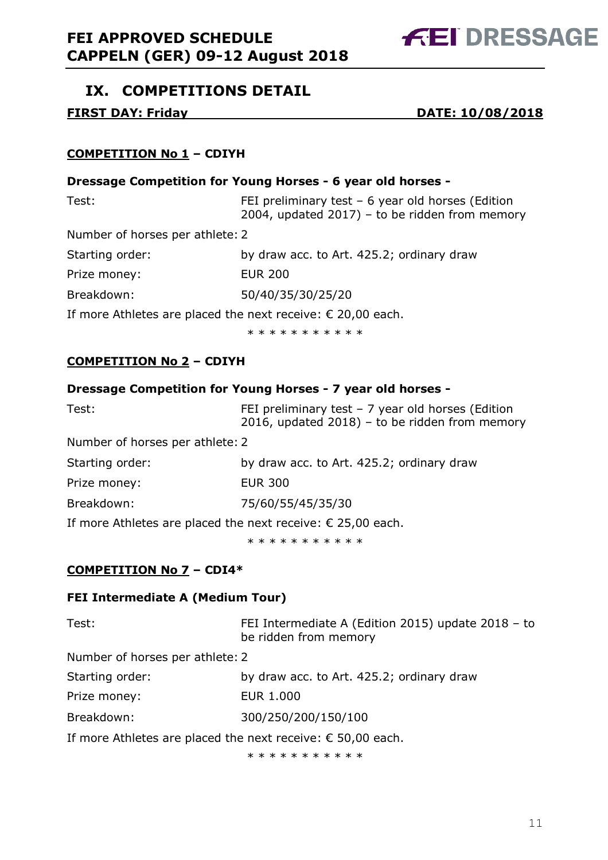

# **IX. COMPETITIONS DETAIL**

**FIRST DAY: Friday DATE: 10/08/2018**

# **COMPETITION No 1 – CDIYH**

## **Dressage Competition for Young Horses - 6 year old horses -**

| Test:                                                                | FEI preliminary test $-6$ year old horses (Edition<br>2004, updated 2017) – to be ridden from memory |
|----------------------------------------------------------------------|------------------------------------------------------------------------------------------------------|
| Number of horses per athlete: 2                                      |                                                                                                      |
| Starting order:                                                      | by draw acc. to Art. 425.2; ordinary draw                                                            |
| Prize money:                                                         | <b>EUR 200</b>                                                                                       |
| Breakdown:                                                           | 50/40/35/30/25/20                                                                                    |
| If more Athletes are placed the next receive: $\epsilon$ 20,00 each. |                                                                                                      |

\* \* \* \* \* \* \* \* \* \*

# **COMPETITION No 2 – CDIYH**

# **Dressage Competition for Young Horses - 7 year old horses -**

| Test:                                                                | FEI preliminary test $-7$ year old horses (Edition<br>2016, updated 2018) - to be ridden from memory |
|----------------------------------------------------------------------|------------------------------------------------------------------------------------------------------|
| Number of horses per athlete: 2                                      |                                                                                                      |
| Starting order:                                                      | by draw acc. to Art. 425.2; ordinary draw                                                            |
| Prize money:                                                         | <b>EUR 300</b>                                                                                       |
| Breakdown:                                                           | 75/60/55/45/35/30                                                                                    |
| If more Athletes are placed the next receive: $\epsilon$ 25,00 each. |                                                                                                      |
|                                                                      | * * * * * * * * * * *                                                                                |

**COMPETITION No 7 – CDI4\***

## **FEI Intermediate A (Medium Tour)**

| Test:                                                                | FEI Intermediate A (Edition 2015) update 2018 - to<br>be ridden from memory |
|----------------------------------------------------------------------|-----------------------------------------------------------------------------|
| Number of horses per athlete: 2                                      |                                                                             |
| Starting order:                                                      | by draw acc. to Art. 425.2; ordinary draw                                   |
| Prize money:                                                         | EUR 1.000                                                                   |
| Breakdown:                                                           | 300/250/200/150/100                                                         |
| If more Athletes are placed the next receive: $\epsilon$ 50,00 each. |                                                                             |

\* \* \* \* \* \* \* \* \* \*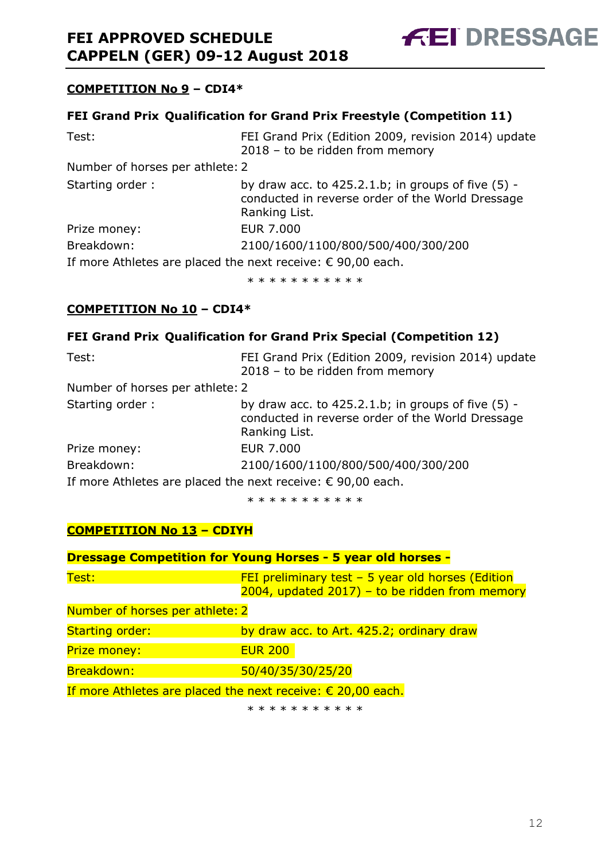

# **COMPETITION No 9 – CDI4\***

# **FEI Grand Prix**-**Qualification for Grand Prix Freestyle (Competition 11)**

| Test:                                                                | FEI Grand Prix (Edition 2009, revision 2014) update<br>2018 - to be ridden from memory                                       |
|----------------------------------------------------------------------|------------------------------------------------------------------------------------------------------------------------------|
| Number of horses per athlete: 2                                      |                                                                                                                              |
| Starting order:                                                      | by draw acc. to $425.2.1.b$ ; in groups of five $(5)$ -<br>conducted in reverse order of the World Dressage<br>Ranking List. |
| Prize money:                                                         | <b>EUR 7.000</b>                                                                                                             |
| Breakdown:                                                           | 2100/1600/1100/800/500/400/300/200                                                                                           |
| If more Athletes are placed the next receive: $\epsilon$ 90,00 each. |                                                                                                                              |

\* \* \* \* \* \* \* \* \* \* \*

## **COMPETITION No 10 – CDI4\***

#### **FEI Grand Prix**-**Qualification for Grand Prix Special (Competition 12)**

| Test:                                                                | FEI Grand Prix (Edition 2009, revision 2014) update<br>2018 - to be ridden from memory                                       |
|----------------------------------------------------------------------|------------------------------------------------------------------------------------------------------------------------------|
| Number of horses per athlete: 2                                      |                                                                                                                              |
| Starting order:                                                      | by draw acc. to $425.2.1.b$ ; in groups of five $(5)$ -<br>conducted in reverse order of the World Dressage<br>Ranking List. |
| Prize money:                                                         | <b>EUR 7.000</b>                                                                                                             |
| Breakdown:                                                           | 2100/1600/1100/800/500/400/300/200                                                                                           |
| If more Athletes are placed the next receive: $\epsilon$ 90,00 each. |                                                                                                                              |

\* \* \* \* \* \* \* \* \* \* \*

# **COMPETITION No 13 – CDIYH**

| <b>Dressage Competition for Young Horses - 5 year old horses -</b> |                                                                                                          |  |
|--------------------------------------------------------------------|----------------------------------------------------------------------------------------------------------|--|
| Test:                                                              | FEI preliminary test $-$ 5 year old horses (Edition<br>$2004$ , updated 2017) – to be ridden from memory |  |
| Number of horses per athlete: 2                                    |                                                                                                          |  |
| <b>Starting order:</b>                                             | by draw acc. to Art. 425.2; ordinary draw                                                                |  |
| <b>Prize money:</b>                                                | <b>EUR 200</b>                                                                                           |  |
| Breakdown:                                                         | 50/40/35/30/25/20                                                                                        |  |
|                                                                    | If more Athletes are placed the next receive: $\epsilon$ 20,00 each.                                     |  |
|                                                                    | * * * * * * * * * * *                                                                                    |  |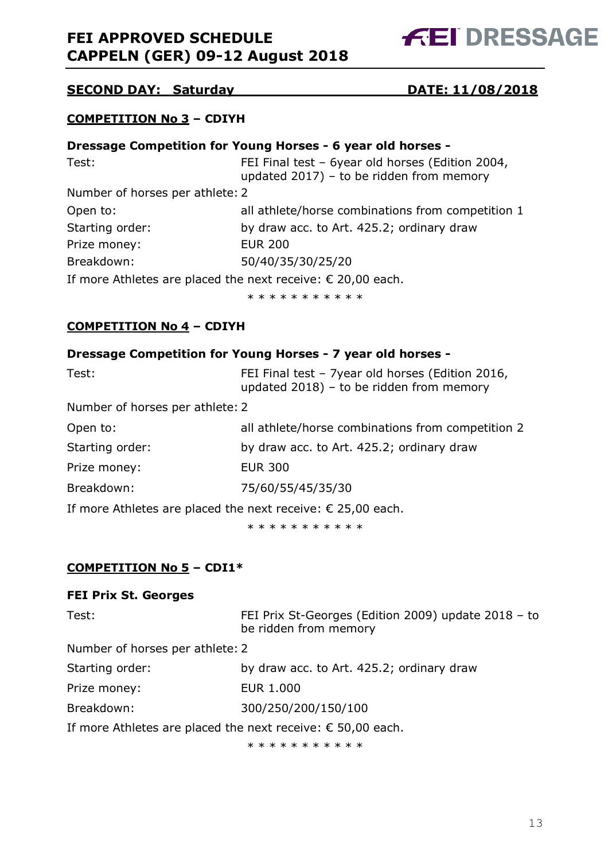# **FEI APPROVED SCHEDULE CAPPELN (GER) 09-12 August 2018**



# **SECOND DAY: Saturday DATE: 11/08/2018**

## **COMPETITION No 3 – CDIYH**

| Dressage Competition for Young Horses - 6 year old horses - |                                                                                                 |
|-------------------------------------------------------------|-------------------------------------------------------------------------------------------------|
| Test:                                                       | FEI Final test - 6year old horses (Edition 2004,<br>updated $2017$ ) – to be ridden from memory |
| Number of horses per athlete: 2                             |                                                                                                 |
| Open to:                                                    | all athlete/horse combinations from competition 1                                               |
| Starting order:                                             | by draw acc. to Art. 425.2; ordinary draw                                                       |
| Prize money:                                                | <b>EUR 200</b>                                                                                  |
| Breakdown:                                                  | 50/40/35/30/25/20                                                                               |
|                                                             | If more Athletes are placed the next receive: $\epsilon$ 20,00 each.                            |
|                                                             | * * * * * * * * * * *                                                                           |

#### **COMPETITION No 4 – CDIYH**

| Dressage Competition for Young Horses - 7 year old horses - |  |  |
|-------------------------------------------------------------|--|--|
|-------------------------------------------------------------|--|--|

| Test:                                                                | FEI Final test - 7year old horses (Edition 2016,<br>updated $2018$ ) – to be ridden from memory |
|----------------------------------------------------------------------|-------------------------------------------------------------------------------------------------|
| Number of horses per athlete: 2                                      |                                                                                                 |
| Open to:                                                             | all athlete/horse combinations from competition 2                                               |
| Starting order:                                                      | by draw acc. to Art. 425.2; ordinary draw                                                       |
| Prize money:                                                         | <b>EUR 300</b>                                                                                  |
| Breakdown:                                                           | 75/60/55/45/35/30                                                                               |
| If more Athletes are placed the next receive: $\epsilon$ 25,00 each. |                                                                                                 |

\* \* \* \* \* \* \* \* \* \* \*

## **COMPETITION No 5 – CDI1\***

#### **FEI Prix St. Georges**

| Test:                                                                | FEI Prix St-Georges (Edition 2009) update 2018 - to<br>be ridden from memory |
|----------------------------------------------------------------------|------------------------------------------------------------------------------|
| Number of horses per athlete: 2                                      |                                                                              |
| Starting order:                                                      | by draw acc. to Art. 425.2; ordinary draw                                    |
| Prize money:                                                         | <b>EUR 1.000</b>                                                             |
| Breakdown:                                                           | 300/250/200/150/100                                                          |
| If more Athletes are placed the next receive: $\epsilon$ 50,00 each. |                                                                              |
|                                                                      | * * * * * * * * * * *                                                        |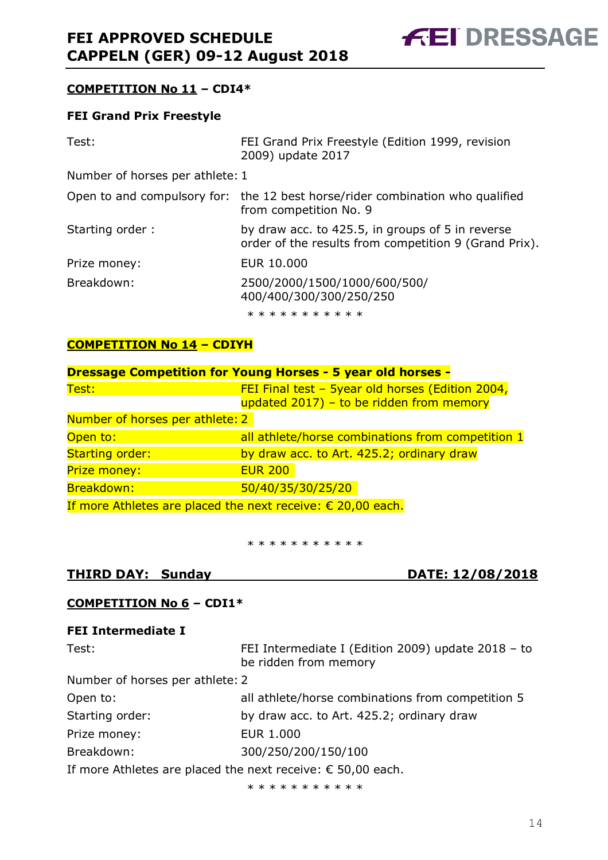

# **COMPETITION No 11 – CDI4\***

#### **FEI Grand Prix Freestyle**

| Test:                           | FEI Grand Prix Freestyle (Edition 1999, revision<br>2009) update 2017                                     |
|---------------------------------|-----------------------------------------------------------------------------------------------------------|
| Number of horses per athlete: 1 |                                                                                                           |
|                                 | Open to and compulsory for: the 12 best horse/rider combination who qualified<br>from competition No. 9   |
| Starting order:                 | by draw acc. to 425.5, in groups of 5 in reverse<br>order of the results from competition 9 (Grand Prix). |
| Prize money:                    | EUR 10,000                                                                                                |
| Breakdown:                      | 2500/2000/1500/1000/600/500/<br>400/400/300/300/250/250                                                   |
|                                 | * * * * * * * * * * *                                                                                     |

#### **COMPETITION No 14 – CDIYH**

| <b>Dressage Competition for Young Horses - 5 year old horses -</b>   |                                                                                              |
|----------------------------------------------------------------------|----------------------------------------------------------------------------------------------|
| Test:                                                                | FEI Final test - 5year old horses (Edition 2004,<br>updated 2017) - to be ridden from memory |
| Number of horses per athlete: 2                                      |                                                                                              |
| Open to:                                                             | all athlete/horse combinations from competition 1                                            |
| <b>Starting order:</b>                                               | by draw acc. to Art. 425.2; ordinary draw                                                    |
| <b>Prize money:</b>                                                  | <b>EUR 200</b>                                                                               |
| Breakdown:                                                           | 50/40/35/30/25/20                                                                            |
| If more Athletes are placed the next receive: $\epsilon$ 20,00 each. |                                                                                              |

\* \* \* \* \* \* \* \* \* \*

## **THIRD DAY: Sunday DATE: 12/08/2018**

## **COMPETITION No 6 – CDI1\***

## **FEI Intermediate I**

| Test:                                                                | FEI Intermediate I (Edition 2009) update 2018 - to<br>be ridden from memory |
|----------------------------------------------------------------------|-----------------------------------------------------------------------------|
| Number of horses per athlete: 2                                      |                                                                             |
| Open to:                                                             | all athlete/horse combinations from competition 5                           |
| Starting order:                                                      | by draw acc. to Art. 425.2; ordinary draw                                   |
| Prize money:                                                         | <b>EUR 1.000</b>                                                            |
| Breakdown:                                                           | 300/250/200/150/100                                                         |
| If more Athletes are placed the next receive: $\epsilon$ 50,00 each. |                                                                             |

\* \* \* \* \* \* \* \* \* \*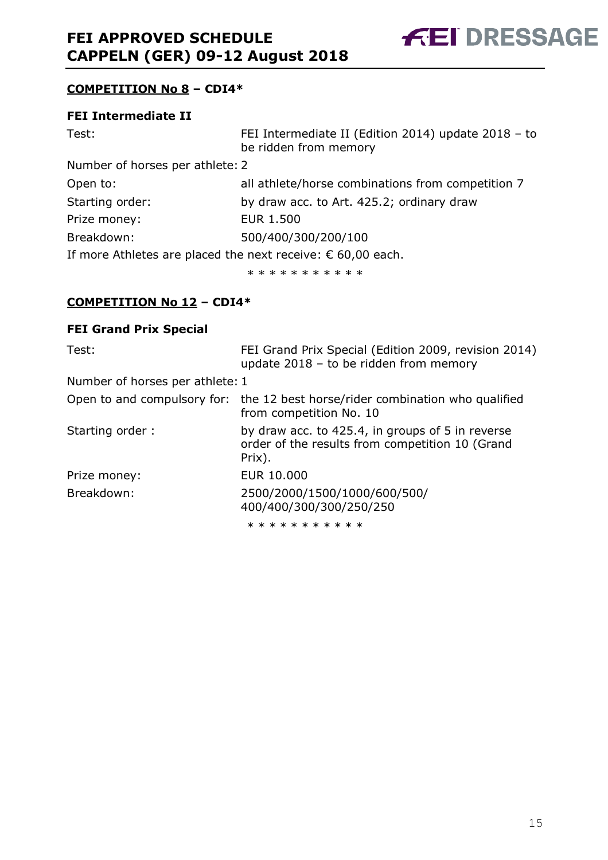

# **COMPETITION No 8 – CDI4\***

#### **FEI Intermediate II**

| Test:                                                                | FEI Intermediate II (Edition 2014) update 2018 - to<br>be ridden from memory |
|----------------------------------------------------------------------|------------------------------------------------------------------------------|
| Number of horses per athlete: 2                                      |                                                                              |
| Open to:                                                             | all athlete/horse combinations from competition 7                            |
| Starting order:                                                      | by draw acc. to Art. 425.2; ordinary draw                                    |
| Prize money:                                                         | <b>EUR 1.500</b>                                                             |
| Breakdown:                                                           | 500/400/300/200/100                                                          |
| If more Athletes are placed the next receive: $\epsilon$ 60,00 each. |                                                                              |

\* \* \* \* \* \* \* \* \* \*

#### **COMPETITION No 12 – CDI4\***

#### **FEI Grand Prix Special**-

| Test:                           | FEI Grand Prix Special (Edition 2009, revision 2014)<br>update $2018 -$ to be ridden from memory              |
|---------------------------------|---------------------------------------------------------------------------------------------------------------|
| Number of horses per athlete: 1 |                                                                                                               |
|                                 | Open to and compulsory for: the 12 best horse/rider combination who qualified<br>from competition No. 10      |
| Starting order:                 | by draw acc. to 425.4, in groups of 5 in reverse<br>order of the results from competition 10 (Grand<br>Prix). |
| Prize money:                    | EUR 10.000                                                                                                    |
| Breakdown:                      | 2500/2000/1500/1000/600/500/<br>400/400/300/300/250/250                                                       |
|                                 |                                                                                                               |

\* \* \* \* \* \* \* \* \* \* \*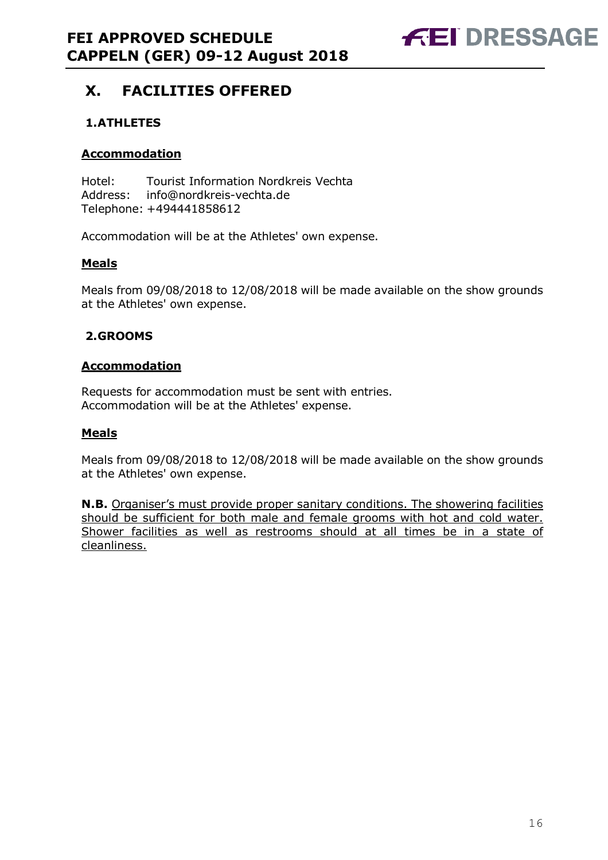

# **X. FACILITIES OFFERED**

# **1.ATHLETES**

#### **Accommodation**

Hotel: Tourist Information Nordkreis Vechta Address: info@nordkreis-vechta.de Telephone: +494441858612

Accommodation will be at the Athletes' own expense.

#### **Meals**

Meals from 09/08/2018 to 12/08/2018 will be made available on the show grounds at the Athletes' own expense.

## **2.GROOMS**

#### **Accommodation**

Requests for accommodation must be sent with entries. Accommodation will be at the Athletes' expense.

#### **Meals**

Meals from 09/08/2018 to 12/08/2018 will be made available on the show grounds at the Athletes' own expense.

**N.B.** Organiser's must provide proper sanitary conditions. The showering facilities should be sufficient for both male and female grooms with hot and cold water. Shower facilities as well as restrooms should at all times be in a state of cleanliness.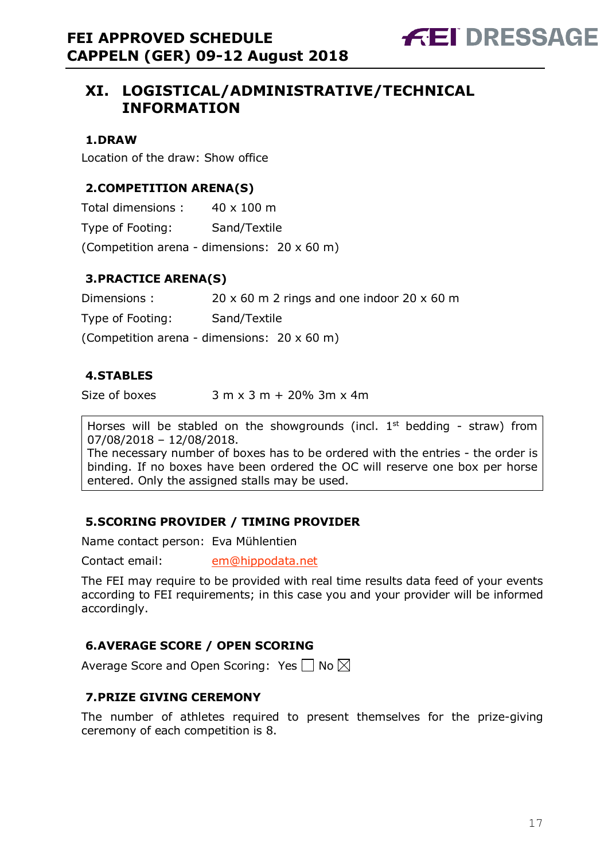# **XI. LOGISTICAL/ADMINISTRATIVE/TECHNICAL INFORMATION**

# **1.DRAW**

Location of the draw: Show office

# **2.COMPETITION ARENA(S)**

Total dimensions : 40 x 100 m Type of Footing: Sand/Textile (Competition arena - dimensions: 20 x 60 m)

# **3.PRACTICE ARENA(S)**

Dimensions : 20 x 60 m 2 rings and one indoor 20 x 60 m

Type of Footing: Sand/Textile

(Competition arena - dimensions: 20 x 60 m)

## **4.STABLES**

Size of boxes  $3 m x 3 m + 20% 3m x 4m$ 

Horses will be stabled on the showgrounds (incl.  $1<sup>st</sup>$  bedding - straw) from 07/08/2018 – 12/08/2018.

The necessary number of boxes has to be ordered with the entries - the order is binding. If no boxes have been ordered the OC will reserve one box per horse entered. Only the assigned stalls may be used.

## **5.SCORING PROVIDER / TIMING PROVIDER**

Name contact person: Eva Mühlentien

Contact email: em@hippodata.net

The FEI may require to be provided with real time results data feed of your events according to FEI requirements; in this case you and your provider will be informed accordingly.

# **6.AVERAGE SCORE / OPEN SCORING**

Average Score and Open Scoring: Yes  $\Box$  No  $\boxtimes$ 

# **7.PRIZE GIVING CEREMONY**

The number of athletes required to present themselves for the prize-giving ceremony of each competition is 8.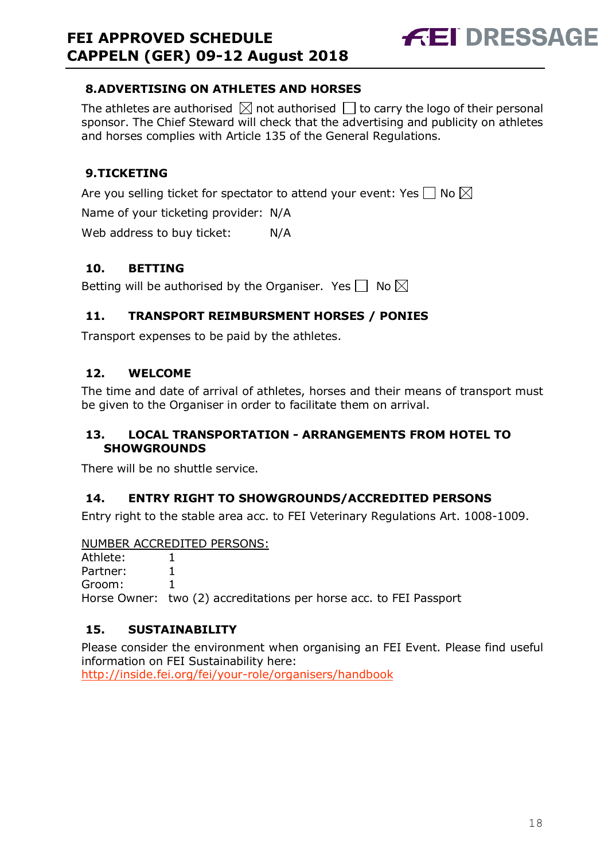# **FEI APPROVED SCHEDULE CAPPELN (GER) 09-12 August 2018**



# **8.ADVERTISING ON ATHLETES AND HORSES**

The athletes are authorised  $\boxtimes$  not authorised  $\Box$  to carry the logo of their personal sponsor. The Chief Steward will check that the advertising and publicity on athletes and horses complies with Article 135 of the General Regulations.

# **9.TICKETING**

Are you selling ticket for spectator to attend your event: Yes  $\Box$  No  $\boxtimes$ 

Name of your ticketing provider: N/A

Web address to buy ticket: N/A

#### **10. BETTING**

Betting will be authorised by the Organiser. Yes  $\Box$  No  $\boxtimes$ 

# **11. TRANSPORT REIMBURSMENT HORSES / PONIES**

Transport expenses to be paid by the athletes.

# **12. WELCOME**

The time and date of arrival of athletes, horses and their means of transport must be given to the Organiser in order to facilitate them on arrival.

## **13. LOCAL TRANSPORTATION - ARRANGEMENTS FROM HOTEL TO SHOWGROUNDS**

There will be no shuttle service.

## **14. ENTRY RIGHT TO SHOWGROUNDS/ACCREDITED PERSONS**

Entry right to the stable area acc. to FEI Veterinary Regulations Art. 1008-1009.

#### NUMBER ACCREDITED PERSONS:

| Athlete: I |                                                                    |
|------------|--------------------------------------------------------------------|
| Partner:   |                                                                    |
| Groom:     |                                                                    |
|            | Horse Owner: two (2) accreditations per horse acc. to FEI Passport |

## **15. SUSTAINABILITY**

Please consider the environment when organising an FEI Event. Please find useful information on FEI Sustainability here:

http://inside.fei.org/fei/your-role/organisers/handbook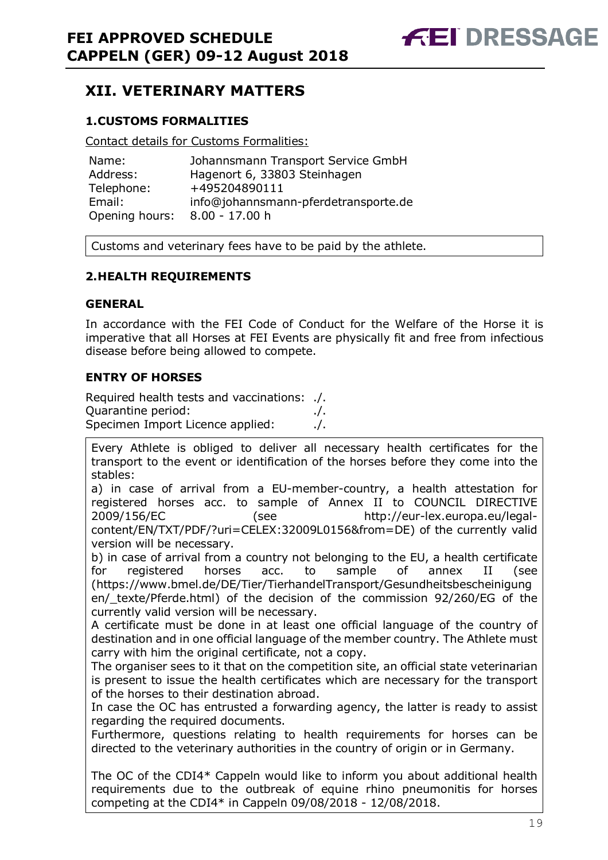# **XII. VETERINARY MATTERS**

# **1.CUSTOMS FORMALITIES**

Contact details for Customs Formalities:

| Name:          | Johannsmann Transport Service GmbH   |
|----------------|--------------------------------------|
| Address:       | Hagenort 6, 33803 Steinhagen         |
| Telephone:     | +495204890111                        |
| Email:         | info@johannsmann-pferdetransporte.de |
| Opening hours: | $8.00 - 17.00 h$                     |

Customs and veterinary fees have to be paid by the athlete.

## **2.HEALTH REQUIREMENTS**

#### **GENERAL**

In accordance with the FEI Code of Conduct for the Welfare of the Horse it is imperative that all Horses at FEI Events are physically fit and free from infectious disease before being allowed to compete.

## **ENTRY OF HORSES**

Required health tests and vaccinations: ./. Quarantine period: ./. Specimen Import Licence applied: ./.

Every Athlete is obliged to deliver all necessary health certificates for the transport to the event or identification of the horses before they come into the stables:

a) in case of arrival from a EU-member-country, a health attestation for registered horses acc. to sample of Annex II to COUNCIL DIRECTIVE 2009/156/EC (see http://eur-lex.europa.eu/legalcontent/EN/TXT/PDF/?uri=CELEX:32009L0156&from=DE) of the currently valid version will be necessary.

b) in case of arrival from a country not belonging to the EU, a health certificate for registered horses acc. to sample of annex II (see (https://www.bmel.de/DE/Tier/TierhandelTransport/Gesundheitsbescheinigung en/\_texte/Pferde.html) of the decision of the commission 92/260/EG of the currently valid version will be necessary.

A certificate must be done in at least one official language of the country of destination and in one official language of the member country. The Athlete must carry with him the original certificate, not a copy.

The organiser sees to it that on the competition site, an official state veterinarian is present to issue the health certificates which are necessary for the transport of the horses to their destination abroad.

In case the OC has entrusted a forwarding agency, the latter is ready to assist regarding the required documents.

Furthermore, questions relating to health requirements for horses can be directed to the veterinary authorities in the country of origin or in Germany.

The OC of the CDI4\* Cappeln would like to inform you about additional health requirements due to the outbreak of equine rhino pneumonitis for horses competing at the CDI4\* in Cappeln 09/08/2018 - 12/08/2018.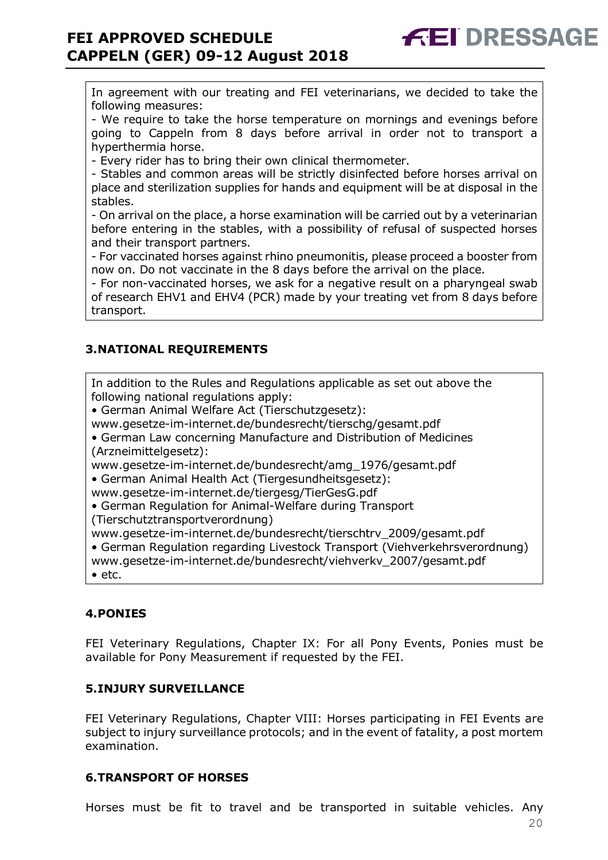In agreement with our treating and FEI veterinarians, we decided to take the following measures:

- We require to take the horse temperature on mornings and evenings before going to Cappeln from 8 days before arrival in order not to transport a hyperthermia horse.

- Every rider has to bring their own clinical thermometer.

- Stables and common areas will be strictly disinfected before horses arrival on place and sterilization supplies for hands and equipment will be at disposal in the stables.

- On arrival on the place, a horse examination will be carried out by a veterinarian before entering in the stables, with a possibility of refusal of suspected horses and their transport partners.

- For vaccinated horses against rhino pneumonitis, please proceed a booster from now on. Do not vaccinate in the 8 days before the arrival on the place.

- For non-vaccinated horses, we ask for a negative result on a pharyngeal swab of research EHV1 and EHV4 (PCR) made by your treating vet from 8 days before transport.

# **3.NATIONAL REQUIREMENTS**

In addition to the Rules and Regulations applicable as set out above the following national regulations apply:

• German Animal Welfare Act (Tierschutzgesetz):

www.gesetze-im-internet.de/bundesrecht/tierschg/gesamt.pdf

• German Law concerning Manufacture and Distribution of Medicines (Arzneimittelgesetz):

www.gesetze-im-internet.de/bundesrecht/amg\_1976/gesamt.pdf

• German Animal Health Act (Tiergesundheitsgesetz):

www.gesetze-im-internet.de/tiergesg/TierGesG.pdf

• German Regulation for Animal-Welfare during Transport (Tierschutztransportverordnung)

www.gesetze-im-internet.de/bundesrecht/tierschtrv\_2009/gesamt.pdf

• German Regulation regarding Livestock Transport (Viehverkehrsverordnung)

www.gesetze-im-internet.de/bundesrecht/viehverkv\_2007/gesamt.pdf

• etc.

## **4.PONIES**

FEI Veterinary Regulations, Chapter IX: For all Pony Events, Ponies must be available for Pony Measurement if requested by the FEI.

## **5.INJURY SURVEILLANCE**

FEI Veterinary Regulations, Chapter VIII: Horses participating in FEI Events are subject to injury surveillance protocols; and in the event of fatality, a post mortem examination.

## **6.TRANSPORT OF HORSES**

Horses must be fit to travel and be transported in suitable vehicles. Any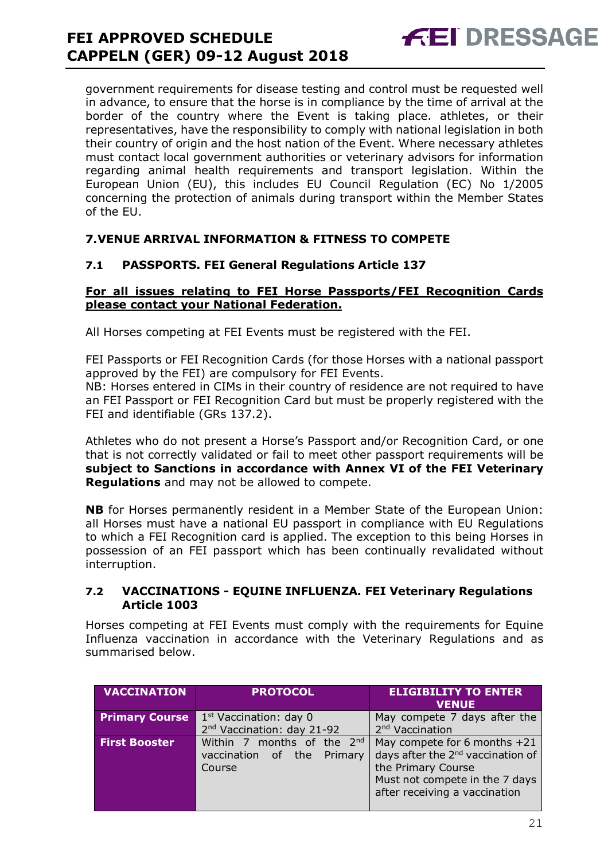# **FEI APPROVED SCHEDULE CAPPELN (GER) 09-12 August 2018**

government requirements for disease testing and control must be requested well in advance, to ensure that the horse is in compliance by the time of arrival at the border of the country where the Event is taking place. athletes, or their representatives, have the responsibility to comply with national legislation in both their country of origin and the host nation of the Event. Where necessary athletes must contact local government authorities or veterinary advisors for information regarding animal health requirements and transport legislation. Within the European Union (EU), this includes EU Council Regulation (EC) No 1/2005 concerning the protection of animals during transport within the Member States of the EU.

# **7.VENUE ARRIVAL INFORMATION & FITNESS TO COMPETE**

# **7.1 PASSPORTS. FEI General Regulations Article 137**

#### **For all issues relating to FEI Horse Passports/FEI Recognition Cards please contact your National Federation.**

All Horses competing at FEI Events must be registered with the FEI.

FEI Passports or FEI Recognition Cards (for those Horses with a national passport approved by the FEI) are compulsory for FEI Events.

NB: Horses entered in CIMs in their country of residence are not required to have an FEI Passport or FEI Recognition Card but must be properly registered with the FEI and identifiable (GRs 137.2).

Athletes who do not present a Horse's Passport and/or Recognition Card, or one that is not correctly validated or fail to meet other passport requirements will be **subject to Sanctions in accordance with Annex VI of the FEI Veterinary Regulations** and may not be allowed to compete.

**NB** for Horses permanently resident in a Member State of the European Union: all Horses must have a national EU passport in compliance with EU Regulations to which a FEI Recognition card is applied. The exception to this being Horses in possession of an FEI passport which has been continually revalidated without interruption.

#### **7.2 VACCINATIONS - EQUINE INFLUENZA. FEI Veterinary Regulations Article 1003**

Horses competing at FEI Events must comply with the requirements for Equine Influenza vaccination in accordance with the Veterinary Regulations and as summarised below.

| <b>VACCINATION</b>    | <b>PROTOCOL</b>                        | <b>ELIGIBILITY TO ENTER</b><br><b>VENUE</b>   |
|-----------------------|----------------------------------------|-----------------------------------------------|
| <b>Primary Course</b> | $1st$ Vaccination: day 0               | May compete 7 days after the                  |
|                       | 2 <sup>nd</sup> Vaccination: day 21-92 | 2 <sup>nd</sup> Vaccination                   |
| <b>First Booster</b>  | Within 7 months of the 2nd             | May compete for 6 months +21                  |
|                       | vaccination of the Primary             | days after the 2 <sup>nd</sup> vaccination of |
|                       | Course                                 | the Primary Course                            |
|                       |                                        | Must not compete in the 7 days                |
|                       |                                        | after receiving a vaccination                 |
|                       |                                        |                                               |

**FEI DRESSAGE**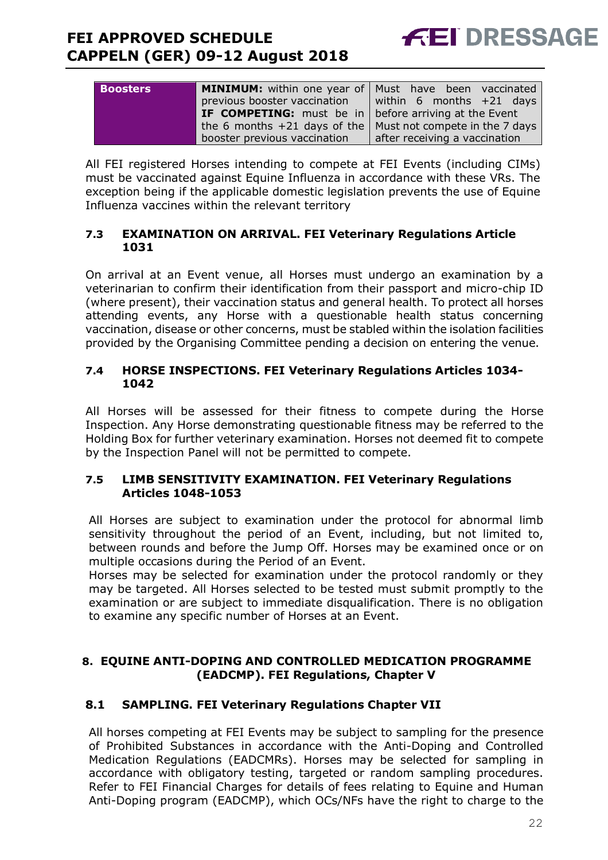

| <b>Boosters</b> | <b>MINIMUM:</b> within one year of   Must have been vaccinated  |                               |
|-----------------|-----------------------------------------------------------------|-------------------------------|
|                 | previous booster vaccination                                    | within 6 months $+21$ days    |
|                 | <b>IF COMPETING:</b> must be in   before arriving at the Event  |                               |
|                 | the 6 months $+21$ days of the   Must not compete in the 7 days |                               |
|                 | booster previous vaccination                                    | after receiving a vaccination |

All FEI registered Horses intending to compete at FEI Events (including CIMs) must be vaccinated against Equine Influenza in accordance with these VRs. The exception being if the applicable domestic legislation prevents the use of Equine Influenza vaccines within the relevant territory

#### **7.3 EXAMINATION ON ARRIVAL. FEI Veterinary Regulations Article 1031**

On arrival at an Event venue, all Horses must undergo an examination by a veterinarian to confirm their identification from their passport and micro-chip ID (where present), their vaccination status and general health. To protect all horses attending events, any Horse with a questionable health status concerning vaccination, disease or other concerns, must be stabled within the isolation facilities provided by the Organising Committee pending a decision on entering the venue.

#### **7.4 HORSE INSPECTIONS. FEI Veterinary Regulations Articles 1034- 1042**

All Horses will be assessed for their fitness to compete during the Horse Inspection. Any Horse demonstrating questionable fitness may be referred to the Holding Box for further veterinary examination. Horses not deemed fit to compete by the Inspection Panel will not be permitted to compete.

#### **7.5 LIMB SENSITIVITY EXAMINATION. FEI Veterinary Regulations Articles 1048-1053**

All Horses are subject to examination under the protocol for abnormal limb sensitivity throughout the period of an Event, including, but not limited to, between rounds and before the Jump Off. Horses may be examined once or on multiple occasions during the Period of an Event.

Horses may be selected for examination under the protocol randomly or they may be targeted. All Horses selected to be tested must submit promptly to the examination or are subject to immediate disqualification. There is no obligation to examine any specific number of Horses at an Event.

# **8. EQUINE ANTI-DOPING AND CONTROLLED MEDICATION PROGRAMME (EADCMP). FEI Regulations, Chapter V**

# **8.1 SAMPLING. FEI Veterinary Regulations Chapter VII**

All horses competing at FEI Events may be subject to sampling for the presence of Prohibited Substances in accordance with the Anti-Doping and Controlled Medication Regulations (EADCMRs). Horses may be selected for sampling in accordance with obligatory testing, targeted or random sampling procedures. Refer to FEI Financial Charges for details of fees relating to Equine and Human Anti-Doping program (EADCMP), which OCs/NFs have the right to charge to the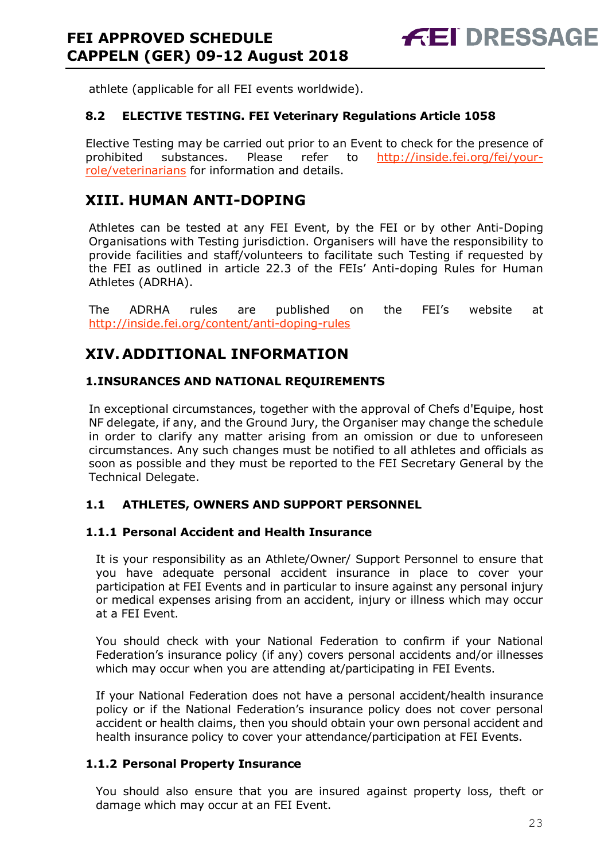athlete (applicable for all FEI events worldwide).

## **8.2 ELECTIVE TESTING. FEI Veterinary Regulations Article 1058**

Elective Testing may be carried out prior to an Event to check for the presence of prohibited substances. Please refer to http://inside.fei.org/fei/yourrole/veterinarians for information and details.

# **XIII. HUMAN ANTI-DOPING**

Athletes can be tested at any FEI Event, by the FEI or by other Anti-Doping Organisations with Testing jurisdiction. Organisers will have the responsibility to provide facilities and staff/volunteers to facilitate such Testing if requested by the FEI as outlined in article 22.3 of the FEIs' Anti-doping Rules for Human Athletes (ADRHA).

The ADRHA rules are published on the FEI's website at http://inside.fei.org/content/anti-doping-rules

# **XIV. ADDITIONAL INFORMATION**

# **1.INSURANCES AND NATIONAL REQUIREMENTS**

In exceptional circumstances, together with the approval of Chefs d'Equipe, host NF delegate, if any, and the Ground Jury, the Organiser may change the schedule in order to clarify any matter arising from an omission or due to unforeseen circumstances. Any such changes must be notified to all athletes and officials as soon as possible and they must be reported to the FEI Secretary General by the Technical Delegate.

## **1.1 ATHLETES, OWNERS AND SUPPORT PERSONNEL**

## **1.1.1 Personal Accident and Health Insurance**

It is your responsibility as an Athlete/Owner/ Support Personnel to ensure that you have adequate personal accident insurance in place to cover your participation at FEI Events and in particular to insure against any personal injury or medical expenses arising from an accident, injury or illness which may occur at a FEI Event.

You should check with your National Federation to confirm if your National Federation's insurance policy (if any) covers personal accidents and/or illnesses which may occur when you are attending at/participating in FEI Events.

If your National Federation does not have a personal accident/health insurance policy or if the National Federation's insurance policy does not cover personal accident or health claims, then you should obtain your own personal accident and health insurance policy to cover your attendance/participation at FEI Events.

## **1.1.2 Personal Property Insurance**

You should also ensure that you are insured against property loss, theft or damage which may occur at an FEI Event.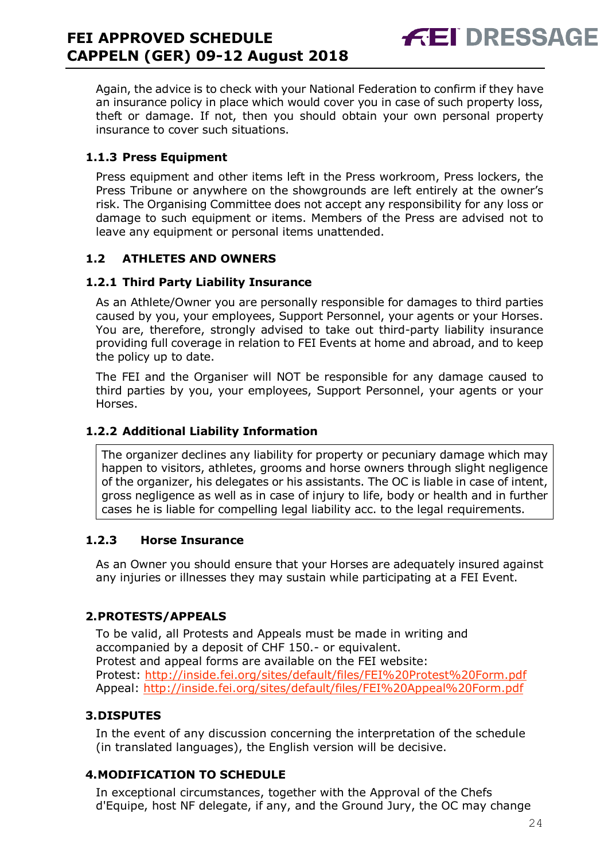**FEI DRESSAG** 

Again, the advice is to check with your National Federation to confirm if they have an insurance policy in place which would cover you in case of such property loss, theft or damage. If not, then you should obtain your own personal property insurance to cover such situations.

# **1.1.3 Press Equipment**

Press equipment and other items left in the Press workroom, Press lockers, the Press Tribune or anywhere on the showgrounds are left entirely at the owner's risk. The Organising Committee does not accept any responsibility for any loss or damage to such equipment or items. Members of the Press are advised not to leave any equipment or personal items unattended.

# **1.2 ATHLETES AND OWNERS**

# **1.2.1 Third Party Liability Insurance**

As an Athlete/Owner you are personally responsible for damages to third parties caused by you, your employees, Support Personnel, your agents or your Horses. You are, therefore, strongly advised to take out third-party liability insurance providing full coverage in relation to FEI Events at home and abroad, and to keep the policy up to date.

The FEI and the Organiser will NOT be responsible for any damage caused to third parties by you, your employees, Support Personnel, your agents or your Horses.

# **1.2.2 Additional Liability Information**

The organizer declines any liability for property or pecuniary damage which may happen to visitors, athletes, grooms and horse owners through slight negligence of the organizer, his delegates or his assistants. The OC is liable in case of intent, gross negligence as well as in case of injury to life, body or health and in further cases he is liable for compelling legal liability acc. to the legal requirements.

## **1.2.3 Horse Insurance**

As an Owner you should ensure that your Horses are adequately insured against any injuries or illnesses they may sustain while participating at a FEI Event.

# **2.PROTESTS/APPEALS**

To be valid, all Protests and Appeals must be made in writing and accompanied by a deposit of CHF 150.- or equivalent. Protest and appeal forms are available on the FEI website: Protest: http://inside.fei.org/sites/default/files/FEI%20Protest%20Form.pdf Appeal: http://inside.fei.org/sites/default/files/FEI%20Appeal%20Form.pdf

# **3.DISPUTES**

In the event of any discussion concerning the interpretation of the schedule (in translated languages), the English version will be decisive.

# **4.MODIFICATION TO SCHEDULE**

In exceptional circumstances, together with the Approval of the Chefs d'Equipe, host NF delegate, if any, and the Ground Jury, the OC may change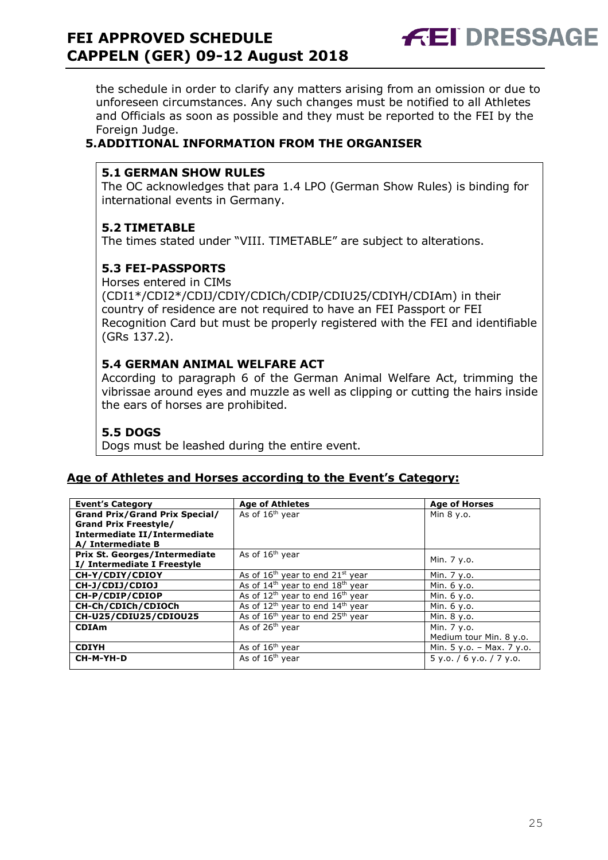# **FEI APPROVED SCHEDULE CAPPELN (GER) 09-12 August 2018**

**FEI DRESSAGE** 

the schedule in order to clarify any matters arising from an omission or due to unforeseen circumstances. Any such changes must be notified to all Athletes and Officials as soon as possible and they must be reported to the FEI by the Foreign Judge.

# **5.ADDITIONAL INFORMATION FROM THE ORGANISER**

# **5.1 GERMAN SHOW RULES**

The OC acknowledges that para 1.4 LPO (German Show Rules) is binding for international events in Germany.

# **5.2 TIMETABLE**

The times stated under "VIII. TIMETABLE" are subject to alterations.

# **5.3 FEI-PASSPORTS**

Horses entered in CIMs

(CDI1\*/CDI2\*/CDIJ/CDIY/CDICh/CDIP/CDIU25/CDIYH/CDIAm) in their country of residence are not required to have an FEI Passport or FEI Recognition Card but must be properly registered with the FEI and identifiable (GRs 137.2).

## **5.4 GERMAN ANIMAL WELFARE ACT**

According to paragraph 6 of the German Animal Welfare Act, trimming the vibrissae around eyes and muzzle as well as clipping or cutting the hairs inside the ears of horses are prohibited.

## **5.5 DOGS**

Dogs must be leashed during the entire event.

## **Age of Athletes and Horses according to the Event's Category:**

| <b>Event's Category</b>               | <b>Age of Athletes</b>                                   | <b>Age of Horses</b>        |
|---------------------------------------|----------------------------------------------------------|-----------------------------|
| <b>Grand Prix/Grand Prix Special/</b> | As of 16 <sup>th</sup> year                              | Min 8 y.o.                  |
| <b>Grand Prix Freestyle/</b>          |                                                          |                             |
| <b>Intermediate II/Intermediate</b>   |                                                          |                             |
| A/ Intermediate B                     |                                                          |                             |
| <b>Prix St. Georges/Intermediate</b>  | As of $16th$ year                                        | Min. 7 y.o.                 |
| I/ Intermediate I Freestyle           |                                                          |                             |
| CH-Y/CDIY/CDIOY                       | As of $16th$ year to end $21st$ year                     | Min. 7 y.o.                 |
| CH-J/CDIJ/CDIOJ                       | As of $14th$ year to end $18th$ year                     | Min. 6 y.o.                 |
| CH-P/CDIP/CDIOP                       | As of 12 <sup>th</sup> year to end 16 <sup>th</sup> year | Min. 6 y.o.                 |
| CH-Ch/CDICh/CDIOCh                    | As of $12^{th}$ year to end $14^{th}$ year               | Min. 6 y.o.                 |
| CH-U25/CDIU25/CDIOU25                 | As of 16 <sup>th</sup> year to end 25 <sup>th</sup> year | Min. 8 y.o.                 |
| <b>CDIAm</b>                          | As of 26 <sup>th</sup> year                              | Min. 7 y.o.                 |
|                                       |                                                          | Medium tour Min. 8 y.o.     |
| <b>CDIYH</b>                          | As of $16th$ year                                        | Min. $5 y.o. - Max. 7 y.o.$ |
| CH-M-YH-D                             | As of 16 <sup>th</sup> year                              | 5 y.0. / 6 y.0. / 7 y.0.    |
|                                       |                                                          |                             |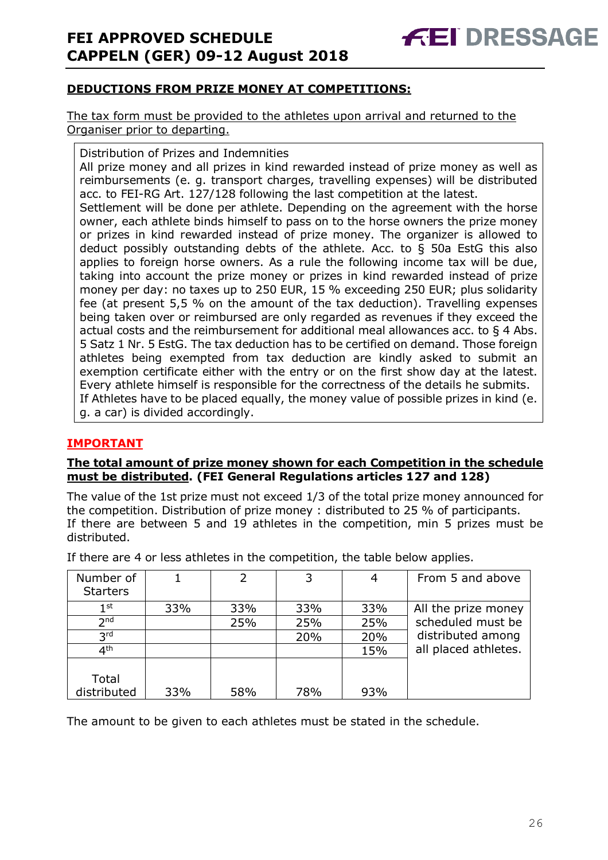# **DEDUCTIONS FROM PRIZE MONEY AT COMPETITIONS:**

The tax form must be provided to the athletes upon arrival and returned to the Organiser prior to departing.

Distribution of Prizes and Indemnities

All prize money and all prizes in kind rewarded instead of prize money as well as reimbursements (e. g. transport charges, travelling expenses) will be distributed acc. to FEI-RG Art. 127/128 following the last competition at the latest.

Settlement will be done per athlete. Depending on the agreement with the horse owner, each athlete binds himself to pass on to the horse owners the prize money or prizes in kind rewarded instead of prize money. The organizer is allowed to deduct possibly outstanding debts of the athlete. Acc. to § 50a EstG this also applies to foreign horse owners. As a rule the following income tax will be due, taking into account the prize money or prizes in kind rewarded instead of prize money per day: no taxes up to 250 EUR, 15 % exceeding 250 EUR; plus solidarity fee (at present 5,5 % on the amount of the tax deduction). Travelling expenses being taken over or reimbursed are only regarded as revenues if they exceed the actual costs and the reimbursement for additional meal allowances acc. to § 4 Abs. 5 Satz 1 Nr. 5 EstG. The tax deduction has to be certified on demand. Those foreign athletes being exempted from tax deduction are kindly asked to submit an exemption certificate either with the entry or on the first show day at the latest. Every athlete himself is responsible for the correctness of the details he submits. If Athletes have to be placed equally, the money value of possible prizes in kind (e. g. a car) is divided accordingly.

## **IMPORTANT**

#### **The total amount of prize money shown for each Competition in the schedule must be distributed. (FEI General Regulations articles 127 and 128)**

The value of the 1st prize must not exceed 1/3 of the total prize money announced for the competition. Distribution of prize money : distributed to 25 % of participants. If there are between 5 and 19 athletes in the competition, min 5 prizes must be distributed.

| Number of       |     | 2   | 3   |     | From 5 and above     |
|-----------------|-----|-----|-----|-----|----------------------|
| <b>Starters</b> |     |     |     |     |                      |
| $1^{\rm st}$    | 33% | 33% | 33% | 33% | All the prize money  |
| 2 <sub>nd</sub> |     | 25% | 25% | 25% | scheduled must be    |
| 3 <sup>rd</sup> |     |     | 20% | 20% | distributed among    |
| 4 <sup>th</sup> |     |     |     | 15% | all placed athletes. |
|                 |     |     |     |     |                      |
| Total           |     |     |     |     |                      |
| distributed     | 33% | 58% | 78% | 93% |                      |

If there are 4 or less athletes in the competition, the table below applies.

The amount to be given to each athletes must be stated in the schedule.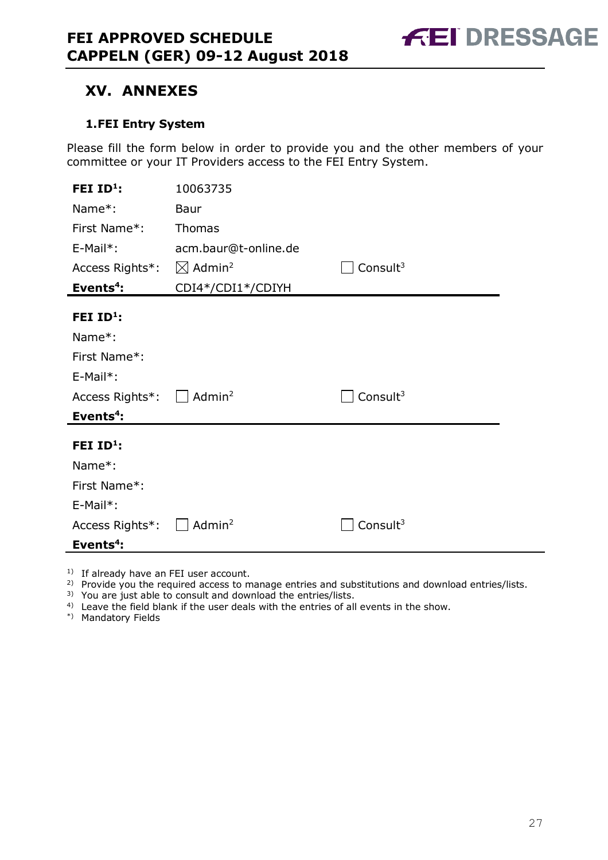

# **XV. ANNEXES**

## **1.FEI Entry System**

Please fill the form below in order to provide you and the other members of your committee or your IT Providers access to the FEI Entry System.

| FEI $ID1$ :                                       | 10063735                       |             |
|---------------------------------------------------|--------------------------------|-------------|
| Name*:                                            | Baur                           |             |
| First Name*:                                      | Thomas                         |             |
| $E-Mail^*$ :                                      | acm.baur@t-online.de           |             |
| Access Rights*:                                   | $\boxtimes$ Admin <sup>2</sup> | Consult $3$ |
| Events <sup>4</sup> :                             | CDI4*/CDI1*/CDIYH              |             |
| FEI $ID^1$ :                                      |                                |             |
| Name*:                                            |                                |             |
| First Name*:                                      |                                |             |
| E-Mail*:                                          |                                |             |
| Access Rights <sup>*</sup> : □ Admin <sup>2</sup> |                                | Consult $3$ |
| Events <sup>4</sup> :                             |                                |             |
| FEI $ID1$ :                                       |                                |             |
| Name*:                                            |                                |             |
| First Name*:                                      |                                |             |
| E-Mail*:                                          |                                |             |
| Access Rights*:                                   | Admin <sup>2</sup>             | Consult $3$ |
| Events <sup>4</sup> :                             |                                |             |

<sup>1)</sup> If already have an FEI user account.

<sup>2)</sup> Provide you the required access to manage entries and substitutions and download entries/lists.

<sup>3)</sup> You are just able to consult and download the entries/lists.

<sup>4)</sup> Leave the field blank if the user deals with the entries of all events in the show.

\*) Mandatory Fields